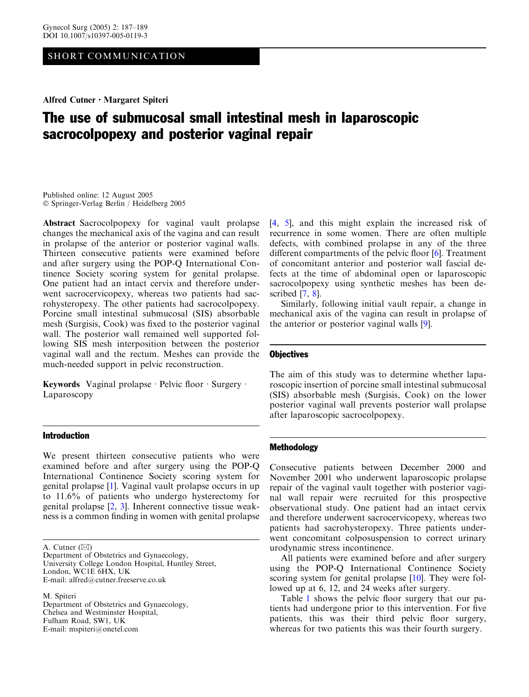## SHORT COMMUNICATION

Alfred Cutner · Margaret Spiteri

# The use of submucosal small intestinal mesh in laparoscopic sacrocolpopexy and posterior vaginal repair

Published online: 12 August 2005 Springer-Verlag Berlin / Heidelberg 2005

Abstract Sacrocolpopexy for vaginal vault prolapse changes the mechanical axis of the vagina and can result in prolapse of the anterior or posterior vaginal walls. Thirteen consecutive patients were examined before and after surgery using the POP-Q International Continence Society scoring system for genital prolapse. One patient had an intact cervix and therefore underwent sacrocervicopexy, whereas two patients had sacrohysteropexy. The other patients had sacrocolpopexy. Porcine small intestinal submucosal (SIS) absorbable mesh (Surgisis, Cook) was fixed to the posterior vaginal wall. The posterior wall remained well supported following SIS mesh interposition between the posterior vaginal wall and the rectum. Meshes can provide the much-needed support in pelvic reconstruction.

Keywords Vaginal prolapse · Pelvic floor · Surgery · Laparoscopy

## Introduction

We present thirteen consecutive patients who were examined before and after surgery using the POP-Q International Continence Society scoring system for genital prolapse [\[1](#page-2-0)]. Vaginal vault prolapse occurs in up to 11.6% of patients who undergo hysterectomy for genital prolapse [[2,](#page-2-0) [3](#page-2-0)]. Inherent connective tissue weakness is a common finding in women with genital prolapse

A. Cutner  $(\boxtimes)$ 

Department of Obstetrics and Gynaecology, University College London Hospital, Huntley Street, London, WC1E 6HX, UK E-mail: alfred@cutner.freeserve.co.uk

M. Spiteri Department of Obstetrics and Gynaecology, Chelsea and Westminster Hospital, Fulham Road, SW1, UK E-mail: mspiteri@onetel.com

[\[4](#page-2-0), [5](#page-2-0)], and this might explain the increased risk of recurrence in some women. There are often multiple defects, with combined prolapse in any of the three different compartments of the pelvic floor [[6\]](#page-2-0). Treatment of concomitant anterior and posterior wall fascial defects at the time of abdominal open or laparoscopic sacrocolpopexy using synthetic meshes has been de-scribed [\[7](#page-2-0), [8](#page-2-0)].

Similarly, following initial vault repair, a change in mechanical axis of the vagina can result in prolapse of the anterior or posterior vaginal walls [\[9](#page-2-0)].

## **Objectives**

The aim of this study was to determine whether laparoscopic insertion of porcine small intestinal submucosal (SIS) absorbable mesh (Surgisis, Cook) on the lower posterior vaginal wall prevents posterior wall prolapse after laparoscopic sacrocolpopexy.

## Methodology

Consecutive patients between December 2000 and November 2001 who underwent laparoscopic prolapse repair of the vaginal vault together with posterior vaginal wall repair were recruited for this prospective observational study. One patient had an intact cervix and therefore underwent sacrocervicopexy, whereas two patients had sacrohysteropexy. Three patients underwent concomitant colposuspension to correct urinary urodynamic stress incontinence.

All patients were examined before and after surgery using the POP-Q International Continence Society scoring system for genital prolapse [\[10\]](#page-2-0). They were followed up at 6, 12, and 24 weeks after surgery.

Table 1 [shows the pelvic floor surgery that our pa](#page-1-0)[tients had undergone prior to this intervention. For five](#page-1-0) [patients, this was their third pelvic floor surgery,](#page-1-0) [whereas for two patients this was their fourth surgery.](#page-1-0)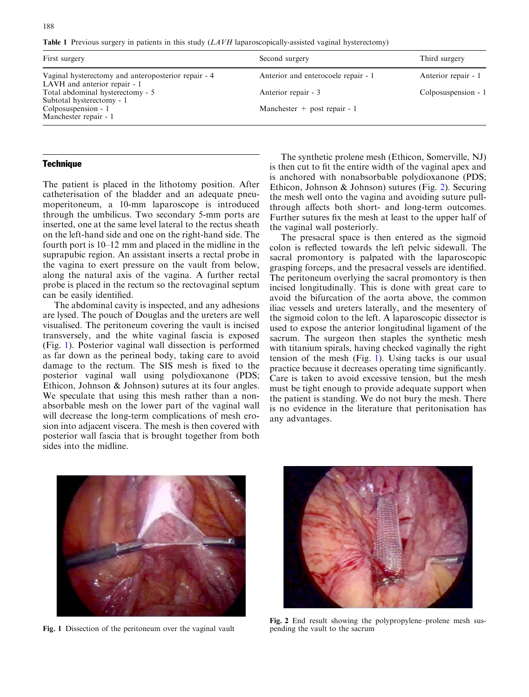<span id="page-1-0"></span>Table 1 Previous surgery in patients in this study (LAVH laparoscopically-assisted vaginal hysterectomy)

| First surgery                                                                       | Second surgery                      | Third surgery       |
|-------------------------------------------------------------------------------------|-------------------------------------|---------------------|
| Vaginal hysterectomy and anteroposterior repair - 4<br>LAVH and anterior repair - 1 | Anterior and enterocoele repair - 1 | Anterior repair - 1 |
| Total abdominal hysterectomy - 5<br>Subtotal hysterectomy - 1                       | Anterior repair - 3                 | Colposuspension - 1 |
| Colposuspension - 1<br>Manchester repair - 1                                        | Manchester $+$ post repair - 1      |                     |

#### **Technique**

The patient is placed in the lithotomy position. After catheterisation of the bladder and an adequate pneumoperitoneum, a 10-mm laparoscope is introduced through the umbilicus. Two secondary 5-mm ports are inserted, one at the same level lateral to the rectus sheath on the left-hand side and one on the right-hand side. The fourth port is 10–12 mm and placed in the midline in the suprapubic region. An assistant inserts a rectal probe in the vagina to exert pressure on the vault from below, along the natural axis of the vagina. A further rectal probe is placed in the rectum so the rectovaginal septum can be easily identified.

The abdominal cavity is inspected, and any adhesions are lysed. The pouch of Douglas and the ureters are well visualised. The peritoneum covering the vault is incised transversely, and the white vaginal fascia is exposed (Fig. 1). Posterior vaginal wall dissection is performed as far down as the perineal body, taking care to avoid damage to the rectum. The SIS mesh is fixed to the posterior vaginal wall using polydioxanone (PDS; Ethicon, Johnson & Johnson) sutures at its four angles. We speculate that using this mesh rather than a nonabsorbable mesh on the lower part of the vaginal wall will decrease the long-term complications of mesh erosion into adjacent viscera. The mesh is then covered with posterior wall fascia that is brought together from both sides into the midline.

The synthetic prolene mesh (Ethicon, Somerville, NJ) is then cut to fit the entire width of the vaginal apex and is anchored with nonabsorbable polydioxanone (PDS; Ethicon, Johnson & Johnson) sutures (Fig. 2). Securing the mesh well onto the vagina and avoiding suture pullthrough affects both short- and long-term outcomes. Further sutures fix the mesh at least to the upper half of the vaginal wall posteriorly.

The presacral space is then entered as the sigmoid colon is reflected towards the left pelvic sidewall. The sacral promontory is palpated with the laparoscopic grasping forceps, and the presacral vessels are identified. The peritoneum overlying the sacral promontory is then incised longitudinally. This is done with great care to avoid the bifurcation of the aorta above, the common iliac vessels and ureters laterally, and the mesentery of the sigmoid colon to the left. A laparoscopic dissector is used to expose the anterior longitudinal ligament of the sacrum. The surgeon then staples the synthetic mesh with titanium spirals, having checked vaginally the right tension of the mesh (Fig. 1). Using tacks is our usual practice because it decreases operating time significantly. Care is taken to avoid excessive tension, but the mesh must be tight enough to provide adequate support when the patient is standing. We do not bury the mesh. There is no evidence in the literature that peritonisation has any advantages.



Fig. 1 Dissection of the peritoneum over the vaginal vault



Fig. 2 End result showing the polypropylene–prolene mesh suspending the vault to the sacrum